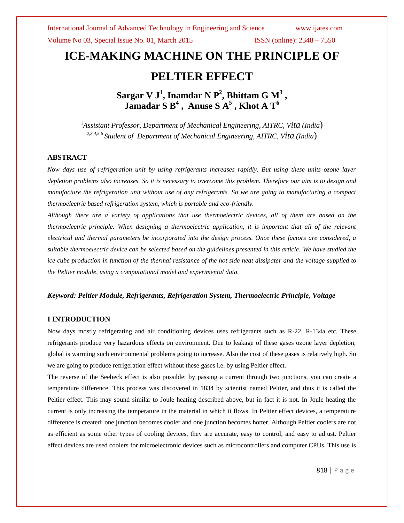Volume No 03, Special Issue No. 01, March 2015 ISSN (online): 2348 – 7550

# **ICE-MAKING MACHINE ON THE PRINCIPLE OF PELTIER EFFECT**

**Sargar V J<sup>1</sup> , Inamdar N P<sup>2</sup> , Bhittam G M<sup>3</sup> , Jamadar S B<sup>4</sup> , Anuse S A<sup>5</sup> , Khot A T<sup>6</sup>**

<sup>1</sup>*Assistant Professor, Department of Mechanical Engineering, AITRC, Vita (India*) *2,3,4,5,6 Student of Department of Mechanical Engineering, AITRC, Vita (India*)

## **ABSTRACT**

*Now days use of refrigeration unit by using refrigerants increases rapidly. But using these units ozone layer depletion problems also increases. So it is necessary to overcome this problem. Therefore our aim is to design and manufacture the refrigeration unit without use of any refrigerants. So we are going to manufacturing a compact thermoelectric based refrigeration system, which is portable and eco-friendly.*

*Although there are a variety of applications that use thermoelectric devices, all of them are based on the thermoelectric principle. When designing a thermoelectric application, it is important that all of the relevant electrical and thermal parameters be incorporated into the design process. Once these factors are considered, a suitable thermoelectric device can be selected based on the guidelines presented in this article. We have studied the ice cube production in function of the thermal resistance of the hot side heat dissipater and the voltage supplied to the Peltier module, using a computational model and experimental data.*

# *Keyword: Peltier Module, Refrigerants, Refrigeration System, Thermoelectric Principle, Voltage*

# **I INTRODUCTION**

Now days mostly refrigerating and air conditioning devices uses refrigerants such as R-22, R-134a etc. These refrigerants produce very hazardous effects on environment. Due to leakage of these gases ozone layer depletion, global is warming such environmental problems going to increase. Also the cost of these gases is relatively high. So we are going to produce refrigeration effect without these gases i.e. by using Peltier effect.

The reverse of the Seebeck effect is also possible: by passing a current through two junctions, you can create a temperature difference. This process was discovered in 1834 by scientist named Peltier, and thus it is called the Peltier effect. This may sound similar to Joule heating described above, but in fact it is not. In Joule heating the current is only increasing the temperature in the material in which it flows. In Peltier effect devices, a temperature difference is created: one junction becomes cooler and one junction becomes hotter. Although Peltier coolers are not as efficient as some other types of cooling devices, they are accurate, easy to control, and easy to adjust. Peltier effect devices are used coolers for microelectronic devices such as microcontrollers and computer CPUs. This use is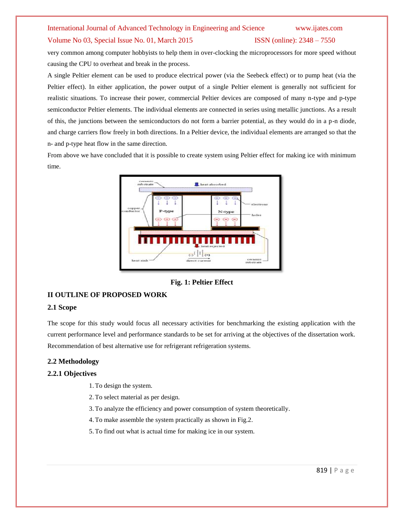### Volume No 03, Special Issue No. 01, March 2015 ISSN (online): 2348 – 7550

very common among computer hobbyists to help them in over-clocking the microprocessors for more speed without causing the CPU to overheat and break in the process.

A single Peltier element can be used to produce electrical power (via the Seebeck effect) or to pump heat (via the Peltier effect). In either application, the power output of a single Peltier element is generally not sufficient for realistic situations. To increase their power, commercial Peltier devices are composed of many n-type and p-type semiconductor Peltier elements. The individual elements are connected in series using metallic junctions. As a result of this, the junctions between the semiconductors do not form a barrier potential, as they would do in a p-n diode, and charge carriers flow freely in both directions. In a Peltier device, the individual elements are arranged so that the n- and p-type heat flow in the same direction.

From above we have concluded that it is possible to create system using Peltier effect for making ice with minimum time.



**Fig. 1: Peltier Effect**

# **II OUTLINE OF PROPOSED WORK**

# **2.1 Scope**

The scope for this study would focus all necessary activities for benchmarking the existing application with the current performance level and performance standards to be set for arriving at the objectives of the dissertation work. Recommendation of best alternative use for refrigerant refrigeration systems.

# **2.2 Methodology**

# **2.2.1 Objectives**

- 1.To design the system.
- 2.To select material as per design.
- 3.To analyze the efficiency and power consumption of system theoretically.
- 4.To make assemble the system practically as shown in Fig.2.
- 5.To find out what is actual time for making ice in our system.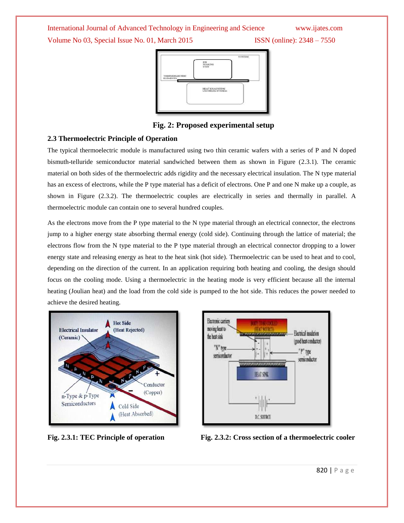International Journal of Advanced Technology in Engineering and Science www.ijates.com Volume No 03, Special Issue No. 01, March 2015 ISSN (online): 2348 – 7550



**Fig. 2: Proposed experimental setup**

## **2.3 Thermoelectric Principle of Operation**

The typical thermoelectric module is manufactured using two thin ceramic wafers with a series of P and N doped bismuth-telluride semiconductor material sandwiched between them as shown in Figure (2.3.1). The ceramic material on both sides of the thermoelectric adds rigidity and the necessary electrical insulation. The N type material has an excess of electrons, while the P type material has a deficit of electrons. One P and one N make up a couple, as shown in Figure (2.3.2). The thermoelectric couples are electrically in series and thermally in parallel. A thermoelectric module can contain one to several hundred couples.

As the electrons move from the P type material to the N type material through an electrical connector, the electrons jump to a higher energy state absorbing thermal energy (cold side). Continuing through the lattice of material; the electrons flow from the N type material to the P type material through an electrical connector dropping to a lower energy state and releasing energy as heat to the heat sink (hot side). Thermoelectric can be used to heat and to cool, depending on the direction of the current. In an application requiring both heating and cooling, the design should focus on the cooling mode. Using a thermoelectric in the heating mode is very efficient because all the internal heating (Joulian heat) and the load from the cold side is pumped to the hot side. This reduces the power needed to achieve the desired heating.





Fig. 2.3.1: TEC Principle of operation Fig. 2.3.2: Cross section of a thermoelectric cooler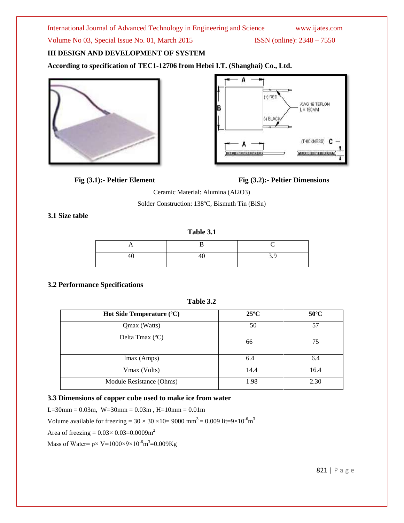Volume No 03, Special Issue No. 01, March 2015 ISSN (online): 2348 - 7550

# **III DESIGN AND DEVELOPMENT OF SYSTEM**

**According to specification of TEC1-12706 from Hebei I.T. (Shanghai) Co., Ltd.**





# **Fig (3.1):- Peltier Element** Fig (3.2):- **Peltier Dimensions**

Ceramic Material: Alumina (Al2O3)

Solder Construction: 138ºC, Bismuth Tin (BiSn)

# **3.1 Size table**

# **Table 3.1**

|  | ັ |
|--|---|

# **3.2 Performance Specifications**

**Table 3.2**

| <b>Hot Side Temperature <math>(^{\circ}C)</math></b> | $25^{\circ}$ C | $50^{\circ}$ C |
|------------------------------------------------------|----------------|----------------|
| Qmax (Watts)                                         | 50             | 57             |
| Delta Tmax (°C)                                      | 66             | 75             |
| Imax (Amps)                                          | 6.4            | 6.4            |
| Vmax (Volts)                                         | 14.4           | 16.4           |
| Module Resistance (Ohms)                             | 1.98           | 2.30           |

# **3.3 Dimensions of copper cube used to make ice from water**

 $L=30$ mm = 0.03m,  $W=30$ mm = 0.03m,  $H=10$ mm = 0.01m Volume available for freezing =  $30 \times 30 \times 10 = 9000$  mm<sup>3</sup> = 0.009 lit=9×10<sup>-6</sup>m<sup>3</sup> Area of freezing =  $0.03 \times 0.03 = 0.0009$ m<sup>2</sup> Mass of Water=  $\rho \times V = 1000 \times 9 \times 10^{-6} \text{m}^3 = 0.009 \text{Kg}$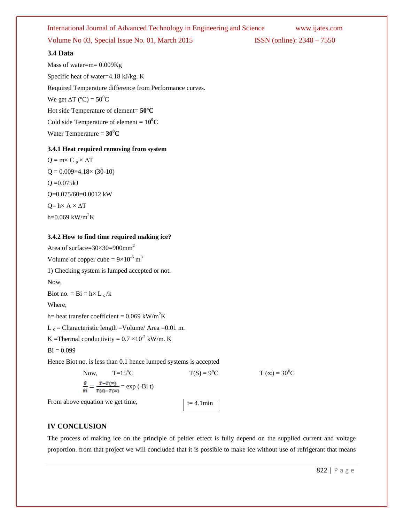Volume No 03, Special Issue No. 01, March 2015 ISSN (online): 2348 – 7550

# **3.4 Data**

Mass of water=m= 0.009Kg Specific heat of water=4.18 kJ/kg. K Required Temperature difference from Performance curves. We get  $\Delta T$  (°C) = 50<sup>0</sup>C Hot side Temperature of element= **50ºC** Cold side Temperature of element =  $10^{0}$ C Water Temperature =  $30^0C$ 

# **3.4.1 Heat required removing from system**

 $Q = m \times C_p \times \Delta T$  $Q = 0.009 \times 4.18 \times (30 - 10)$  $Q = 0.075kJ$ Q=0.075/60=0.0012 kW  $Q=h \times A \times \Delta T$  $h=0.069$  kW/m<sup>2</sup>K

## **3.4.2 How to find time required making ice?**

Area of surface= $30\times30=900$ mm<sup>2</sup> Volume of copper cube =  $9 \times 10^{-6}$  m<sup>3</sup> 1) Checking system is lumped accepted or not. Now, Biot no. =  $Bi = h \times L_c / k$ Where, h= heat transfer coefficient =  $0.069$  kW/m<sup>2</sup>K L  $_c$  = Characteristic length =Volume/ Area =0.01 m. K = Thermal conductivity =  $0.7 \times 10^{-2}$  kW/m. K  $Bi = 0.099$ Hence Biot no. is less than 0.1 hence lumped systems is accepted

Now,  $T=15^{\circ}\text{C}$   $T(S) = 9^{\circ}\text{C}$   $T(\infty) = 30^{\circ}\text{C}$  $\frac{\theta}{\theta i} = \frac{\tau - \tau(\infty)}{\tau(s) - \tau(\infty)} = \exp(-\text{Bi } t)$ From above equation we get time,  $t= 4.1$ min

**IV CONCLUSION**

The process of making ice on the principle of peltier effect is fully depend on the supplied current and voltage proportion. from that project we will concluded that it is possible to make ice without use of refrigerant that means